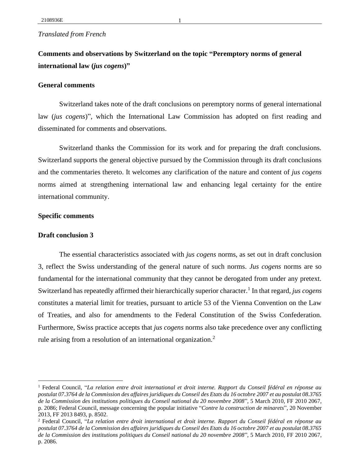# *Translated from French*

**Comments and observations by Switzerland on the topic "Peremptory norms of general international law (***jus cogens***)"**

### **General comments**

Switzerland takes note of the draft conclusions on peremptory norms of general international law (*jus cogens*)", which the International Law Commission has adopted on first reading and disseminated for comments and observations.

Switzerland thanks the Commission for its work and for preparing the draft conclusions. Switzerland supports the general objective pursued by the Commission through its draft conclusions and the commentaries thereto. It welcomes any clarification of the nature and content of *jus cogens* norms aimed at strengthening international law and enhancing legal certainty for the entire international community.

#### **Specific comments**

## **Draft conclusion 3**

The essential characteristics associated with *jus cogens* norms, as set out in draft conclusion 3, reflect the Swiss understanding of the general nature of such norms. *Jus cogens* norms are so fundamental for the international community that they cannot be derogated from under any pretext. Switzerland has repeatedly affirmed their hierarchically superior character.<sup>1</sup> In that regard, *jus cogens* constitutes a material limit for treaties, pursuant to article 53 of the Vienna Convention on the Law of Treaties, and also for amendments to the Federal Constitution of the Swiss Confederation. Furthermore, Swiss practice accepts that *jus cogens* norms also take precedence over any conflicting rule arising from a resolution of an international organization.<sup>2</sup>

<sup>1</sup> Federal Council, "*La relation entre droit international et droit interne. Rapport du Conseil fédéral en réponse au postulat 07.3764 de la Commission des affaires juridiques du Conseil des Etats du 16 octobre 2007 et au postulat 08.3765 de la Commission des institutions politiques du Conseil national du 20 novembre 2008*", 5 March 2010, FF 2010 2067, p. 2086; Federal Council, message concerning the popular initiative "*Contre la construction de minarets*", 20 November 2013, FF 2013 8493, p. 8502.

<sup>2</sup> Federal Council, "*La relation entre droit international et droit interne. Rapport du Conseil fédéral en réponse au postulat 07.3764 de la Commission des affaires juridiques du Conseil des Etats du 16 octobre 2007 et au postulat 08.3765 de la Commission des institutions politiques du Conseil national du 20 novembre 2008*", 5 March 2010, FF 2010 2067, p. 2086.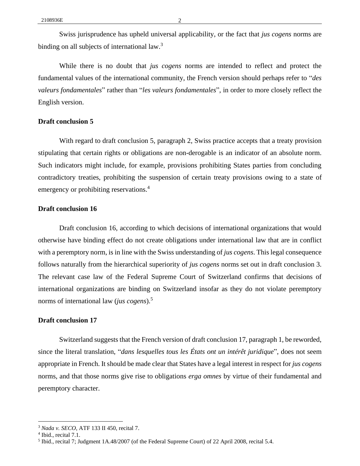Swiss jurisprudence has upheld universal applicability, or the fact that *jus cogens* norms are binding on all subjects of international law.<sup>3</sup>

While there is no doubt that *jus cogens* norms are intended to reflect and protect the fundamental values of the international community, the French version should perhaps refer to "*des valeurs fondamentales*" rather than "*les valeurs fondamentales*", in order to more closely reflect the English version.

#### **Draft conclusion 5**

With regard to draft conclusion 5, paragraph 2, Swiss practice accepts that a treaty provision stipulating that certain rights or obligations are non-derogable is an indicator of an absolute norm. Such indicators might include, for example, provisions prohibiting States parties from concluding contradictory treaties, prohibiting the suspension of certain treaty provisions owing to a state of emergency or prohibiting reservations.<sup>4</sup>

## **Draft conclusion 16**

Draft conclusion 16, according to which decisions of international organizations that would otherwise have binding effect do not create obligations under international law that are in conflict with a peremptory norm, is in line with the Swiss understanding of *jus cogens*. This legal consequence follows naturally from the hierarchical superiority of *jus cogens* norms set out in draft conclusion 3. The relevant case law of the Federal Supreme Court of Switzerland confirms that decisions of international organizations are binding on Switzerland insofar as they do not violate peremptory norms of international law (*jus cogens*).<sup>5</sup>

# **Draft conclusion 17**

Switzerland suggests that the French version of draft conclusion 17, paragraph 1, be reworded, since the literal translation, "*dans lesquelles tous les États ont un intérêt juridique*", does not seem appropriate in French. It should be made clear that States have a legal interest in respect for *jus cogens* norms, and that those norms give rise to obligations *erga omnes* by virtue of their fundamental and peremptory character.

<sup>3</sup> *Nada v. SECO*, ATF 133 II 450, recital 7.

<sup>&</sup>lt;sup>4</sup> Ibid., recital 7.1.

<sup>&</sup>lt;sup>5</sup> Ibid., recital 7; Judgment 1A.48/2007 (of the Federal Supreme Court) of 22 April 2008, recital 5.4.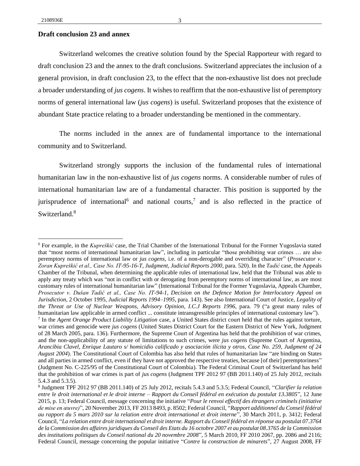#### **Draft conclusion 23 and annex**

Switzerland welcomes the creative solution found by the Special Rapporteur with regard to draft conclusion 23 and the annex to the draft conclusions. Switzerland appreciates the inclusion of a general provision, in draft conclusion 23, to the effect that the non-exhaustive list does not preclude a broader understanding of *jus cogens*. It wishes to reaffirm that the non-exhaustive list of peremptory norms of general international law (*jus cogens*) is useful. Switzerland proposes that the existence of abundant State practice relating to a broader understanding be mentioned in the commentary.

The norms included in the annex are of fundamental importance to the international community and to Switzerland.

Switzerland strongly supports the inclusion of the fundamental rules of international humanitarian law in the non-exhaustive list of *jus cogens* norms. A considerable number of rules of international humanitarian law are of a fundamental character. This position is supported by the jurisprudence of international and national courts,<sup>7</sup> and is also reflected in the practice of Switzerland.<sup>8</sup>

<sup>6</sup> For example, in the *Kupreškić* case, the Trial Chamber of the International Tribunal for the Former Yugoslavia stated that "most norms of international humanitarian law", including in particular "those prohibiting war crimes … are also peremptory norms of international law or *jus cogens*, i.e. of a non-derogable and overriding character" (*Prosecutor v. Zoran Kupreškić et al., Case No. IT-95-16-T, Judgment, Judicial Reports 2000*, para. 520). In the *Tadić* case, the Appeals Chamber of the Tribunal, when determining the applicable rules of international law, held that the Tribunal was able to apply any treaty which was "not in conflict with or derogating from peremptory norms of international law, as are most customary rules of international humanitarian law" (International Tribunal for the Former Yugoslavia, Appeals Chamber, *Prosecutor v. Dušan Tadić et al., Case No. IT-94-1, Decision on the Defence Motion for Interlocutory Appeal on Jurisdiction*, 2 October 1995, *Judicial Reports 1994–1995*, para. 143). See also International Court of Justice, *Legality of the Threat or Use of Nuclear Weapons, Advisory Opinion*, *I.C.J Reports 1996,* para. 79 ("a great many rules of humanitarian law applicable in armed conflict ... constitute intransgressible principles of international customary law"). 7 In the *Agent Orange Product Liability Litigation* case, a United States district court held that the rules against torture, war crimes and genocide were *jus cogens* (United States District Court for the Eastern District of New York, Judgment of 28 March 2005, para. 136). Furthermore, the Supreme Court of Argentina has held that the prohibition of war crimes, and the non-applicability of any statute of limitations to such crimes, were *jus cogens* (Supreme Court of Argentina, *Arancibia Clavel, Enrique Lautaro s/ homicidio calificado y asociación ilícita y otros, Case No. 259, Judgment of 24 August 2004*). The Constitutional Court of Colombia has also held that rules of humanitarian law "are binding on States and all parties in armed conflict, even if they have not approved the respective treaties, because [of their] peremptoriness" (Judgment No. C-225/95 of the Constitutional Court of Colombia). The Federal Criminal Court of Switzerland has held that the prohibition of war crimes is part of *jus cogens* (Judgment TPF 2012 97 (BB 2011.140) of 25 July 2012, recitals 5.4.3 and 5.3.5).

<sup>8</sup> Judgment TPF 2012 97 (BB 2011.140) of 25 July 2012, recitals 5.4.3 and 5.3.5; Federal Council, "*Clarifier la relation entre le droit international et le droit interne – Rapport du Conseil fédéral en exécution du postulat 13.3805*", 12 June 2015, p. 13; Federal Council, message concerning the initiative "*Pour le renvoi effectif des étrangers criminels (initiative de mise en œuvre)*", 20 November 2013, FF 2013 8493, p. 8502; Federal Council, "*Rapport additionnel du Conseil fédéral au rapport du 5 mars 2010 sur la relation entre droit international et droit interne*", 30 March 2011, p. 3412; Federal Council, "*La relation entre droit international et droit interne. Rapport du Conseil fédéral en réponse au postulat 07.3764 de la Commission des affaires juridiques du Conseil des Etats du 16 octobre 2007 et au postulat 08.3765 de la Commission des institutions politiques du Conseil national du 20 novembre 2008*", 5 March 2010, FF 2010 2067, pp. 2086 and 2116; Federal Council, message concerning the popular initiative "*Contre la construction de minarets*", 27 August 2008, FF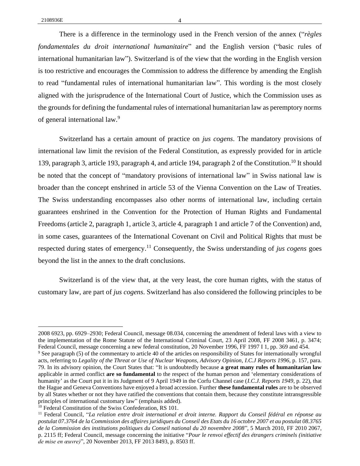There is a difference in the terminology used in the French version of the annex ("*règles fondamentales du droit international humanitaire*" and the English version ("basic rules of international humanitarian law"). Switzerland is of the view that the wording in the English version is too restrictive and encourages the Commission to address the difference by amending the English to read "fundamental rules of international humanitarian law". This wording is the most closely aligned with the jurisprudence of the International Court of Justice, which the Commission uses as the grounds for defining the fundamental rules of international humanitarian law as peremptory norms of general international law.<sup>9</sup>

Switzerland has a certain amount of practice on *jus cogens*. The mandatory provisions of international law limit the revision of the Federal Constitution, as expressly provided for in article 139, paragraph 3, article 193, paragraph 4, and article 194, paragraph 2 of the Constitution.<sup>10</sup> It should be noted that the concept of "mandatory provisions of international law" in Swiss national law is broader than the concept enshrined in article 53 of the Vienna Convention on the Law of Treaties. The Swiss understanding encompasses also other norms of international law, including certain guarantees enshrined in the Convention for the Protection of Human Rights and Fundamental Freedoms (article 2, paragraph 1, article 3, article 4, paragraph 1 and article 7 of the Convention) and, in some cases, guarantees of the International Covenant on Civil and Political Rights that must be respected during states of emergency.<sup>11</sup> Consequently, the Swiss understanding of *jus cogens* goes beyond the list in the annex to the draft conclusions.

Switzerland is of the view that, at the very least, the core human rights, with the status of customary law, are part of *jus cogens*. Switzerland has also considered the following principles to be

<sup>2008 6923,</sup> pp. 6929–2930; Federal Council, message 08.034, concerning the amendment of federal laws with a view to the implementation of the Rome Statute of the International Criminal Court, 23 April 2008, FF 2008 3461, p. 3474; Federal Council, message concerning a new federal constitution, 20 November 1996, FF 1997 I 1, pp. 369 and 454.

<sup>9</sup> See paragraph (5) of the commentary to article 40 of the articles on responsibility of States for internationally wrongful acts, referring to *Legality of the Threat or Use of Nuclear Weapons, Advisory Opinion*, *I.C.J Reports 1996*, p. 157, para. 79. In its advisory opinion, the Court States that: "It is undoubtedly because **a great many rules of humanitarian law**  applicable in armed conflict **are so fundamental** to the respect of the human person and 'elementary considerations of humanity' as the Court put it in its Judgment of 9 April 1949 in the Corfu Channel case (*I.C.J. Reports 1949*, p. 22), that the Hague and Geneva Conventions have enjoyed a broad accession. Further **these fundamental rules** are to be observed by all States whether or not they have ratified the conventions that contain them, because they constitute intransgressible principles of international customary law" (emphasis added).

<sup>&</sup>lt;sup>10</sup> Federal Constitution of the Swiss Confederation, RS 101.

<sup>11</sup> Federal Council, "*La relation entre droit international et droit interne. Rapport du Conseil fédéral en réponse au postulat 07.3764 de la Commission des affaires juridiques du Conseil des Etats du 16 octobre 2007 et au postulat 08.3765 de la Commission des institutions politiques du Conseil national du 20 novembre 2008*", 5 March 2010, FF 2010 2067, p. 2115 ff; Federal Council, message concerning the initiative "*Pour le renvoi effectif des étrangers criminels (initiative de mise en œuvre)*", 20 November 2013, FF 2013 8493, p. 8503 ff.